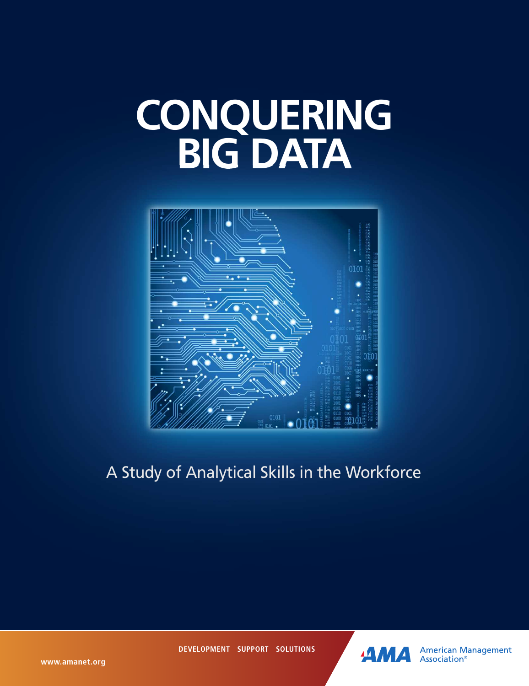# **CONQUERING BIG DATA**



A Study of Analytical Skills in the Workforce

**DEVELOPMENT SUPPORT SOLUTIONS**



**American Management** Association<sup>®</sup>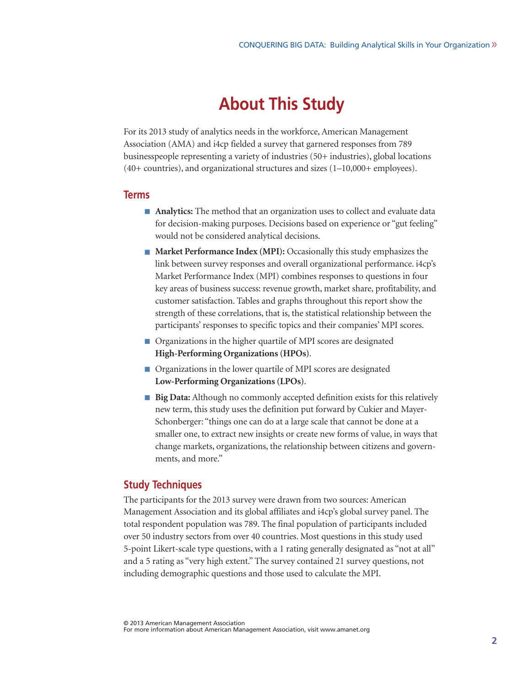# **About This Study**

For its 2013 study of analytics needs in the workforce, American Management Association (AMA) and i4cp fielded a survey that garnered responses from 789 businesspeople representing a variety of industries (50+ industries), global locations (40+ countries), and organizational structures and sizes (1–10,000+ employees).

#### **Terms**

- **Analytics:** The method that an organization uses to collect and evaluate data for decision-making purposes. Decisions based on experience or "gut feeling" would not be considered analytical decisions.
- **Market Performance Index** (MPI): Occasionally this study emphasizes the link between survey responses and overall organizational performance. i4cp's Market Performance Index (MPI) combines responses to questions in four key areas of business success: revenue growth, market share, profitability, and customer satisfaction. Tables and graphs throughout this report show the strength of these correlations, that is, the statistical relationship between the participants' responses to specific topics and their companies' MPI scores.
- Organizations in the higher quartile of MPI scores are designated **High-Performing Organizations(HPOs)**.
- Organizations in the lower quartile of MPI scores are designated **Low-Performing Organizations(LPOs)**.
- **Big Data:** Although no commonly accepted definition exists for this relatively new term, this study uses the definition put forward by Cukier and Mayer-Schonberger: "things one can do at a large scale that cannot be done at a smaller one, to extract new insights or create new forms of value, in ways that change markets, organizations, the relationship between citizens and governments, and more."

#### **Study Techniques**

The participants for the 2013 survey were drawn from two sources: American Management Association and its global affiliates and i4cp's global survey panel. The total respondent population was 789. The final population of participants included over 50 industry sectors from over 40 countries. Most questions in this study used 5-point Likert-scale type questions, with a 1 rating generally designated as "not at all" and a 5 rating as "very high extent." The survey contained 21 survey questions, not including demographic questions and those used to calculate the MPI.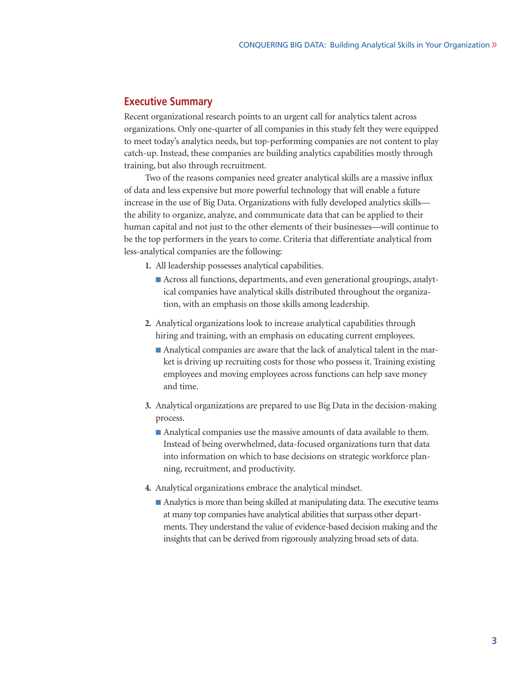## **Executive Summary**

Recent organizational research points to an urgent call for analytics talent across organizations. Only one-quarter of all companies in this study felt they were equipped to meet today's analytics needs, but top-performing companies are not content to play catch-up. Instead, these companies are building analytics capabilities mostly through training, but also through recruitment.

Two of the reasons companies need greater analytical skills are a massive influx of data and less expensive but more powerful technology that will enable a future increase in the use of Big Data. Organizations with fully developed analytics skills the ability to organize, analyze, and communicate data that can be applied to their human capital and not just to the other elements of their businesses—will continue to be the top performers in the years to come. Criteria that differentiate analytical from less-analytical companies are the following:

- **1.** All leadership possesses analytical capabilities.
	- Across all functions, departments, and even generational groupings, analytical companies have analytical skills distributed throughout the organization, with an emphasis on those skills among leadership.
- **2.** Analytical organizations look to increase analytical capabilities through hiring and training, with an emphasis on educating current employees.
	- Analytical companies are aware that the lack of analytical talent in the market is driving up recruiting costs for those who possess it. Training existing employees and moving employees across functions can help save money and time.
- **3.** Analytical organizations are prepared to use Big Data in the decision-making process.
	- Analytical companies use the massive amounts of data available to them. Instead of being overwhelmed, data-focused organizations turn that data into information on which to base decisions on strategic workforce planning, recruitment, and productivity.
- **4.** Analytical organizations embrace the analytical mindset.
	- Analytics is more than being skilled at manipulating data. The executive teams at many top companies have analytical abilities that surpass other departments. They understand the value of evidence-based decision making and the insights that can be derived from rigorously analyzing broad sets of data.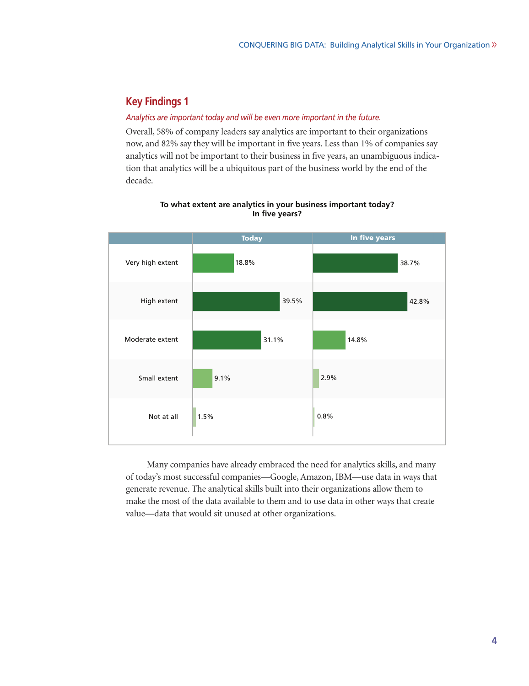#### *Analytics are important today and will be even more important in the future.*

Overall, 58% of company leaders say analytics are important to their organizations now, and 82% say they will be important in five years. Less than 1% of companies say analytics will not be important to their business in five years, an unambiguous indication that analytics will be a ubiquitous part of the business world by the end of the decade.



#### **To what extent are analytics in your business important today? In five years?**

Many companies have already embraced the need for analytics skills, and many of today's most successful companies—Google, Amazon, IBM—use data in ways that generate revenue. The analytical skills built into their organizations allow them to make the most of the data available to them and to use data in other ways that create value—data that would sit unused at other organizations.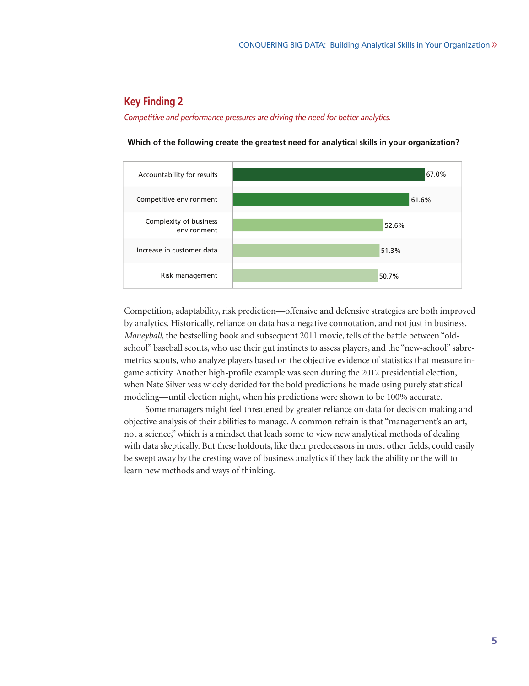*Competitive and performance pressures are driving the need for better analytics.*



**Which of the following create the greatest need for analytical skills in your organization?**

Competition, adaptability, risk prediction—offensive and defensive strategies are both improved by analytics. Historically, reliance on data has a negative connotation, and not just in business. *Moneyball*, the bestselling book and subsequent 2011 movie, tells of the battle between "oldschool" baseball scouts, who use their gut instincts to assess players, and the "new-school" sabremetrics scouts, who analyze players based on the objective evidence of statistics that measure ingame activity. Another high-profile example was seen during the 2012 presidential election, when Nate Silver was widely derided for the bold predictions he made using purely statistical modeling—until election night, when his predictions were shown to be 100% accurate.

Some managers might feel threatened by greater reliance on data for decision making and objective analysis of their abilities to manage. A common refrain is that "management's an art, not a science,"which is a mindset that leads some to view new analytical methods of dealing with data skeptically. But these holdouts, like their predecessors in most other fields, could easily be swept away by the cresting wave of business analytics if they lack the ability or the will to learn new methods and ways of thinking.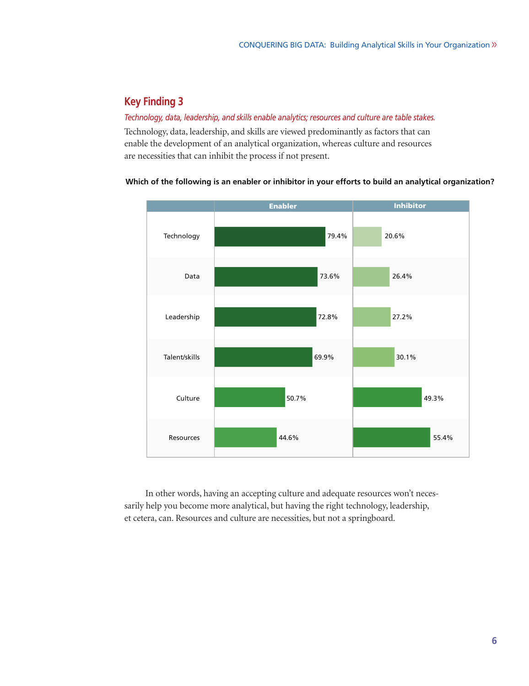#### *Technology, data, leadership, and skills enable analytics; resources and culture are table stakes.*

Technology, data, leadership, and skills are viewed predominantly as factors that can enable the development of an analytical organization, whereas culture and resources are necessities that can inhibit the process if not present.

#### **Which of the following is an enabler or inhibitor in your efforts to build an analytical organization?**



In other words, having an accepting culture and adequate resources won't necessarily help you become more analytical, but having the right technology, leadership, et cetera, can. Resources and culture are necessities, but not a springboard.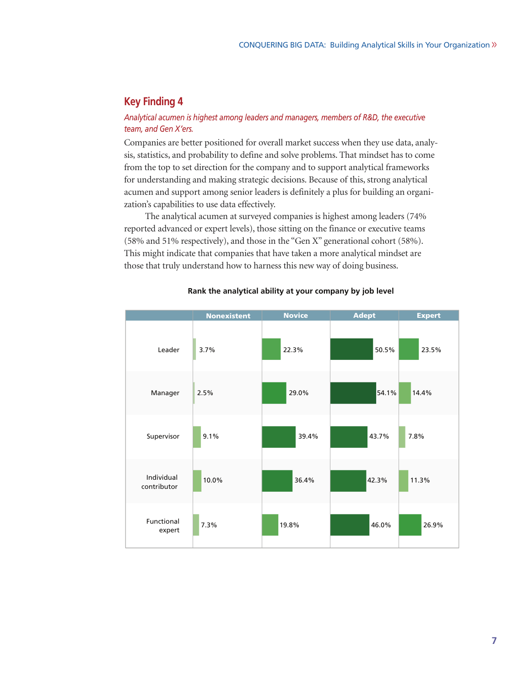### *Analytical acumen is highest among leaders and managers, members of R&D, the executive team, and Gen X'ers.*

Companies are better positioned for overall market success when they use data, analysis, statistics, and probability to define and solve problems. That mindset has to come from the top to set direction for the company and to support analytical frameworks for understanding and making strategic decisions. Because of this, strong analytical acumen and support among senior leaders is definitely a plus for building an organization's capabilities to use data effectively.

The analytical acumen at surveyed companies is highest among leaders (74% reported advanced or expert levels), those sitting on the finance or executive teams (58% and 51% respectively), and those in the "Gen X" generational cohort (58%). This might indicate that companies that have taken a more analytical mindset are those that truly understand how to harness this new way of doing business.



#### **Rank the analytical ability at your company by job level**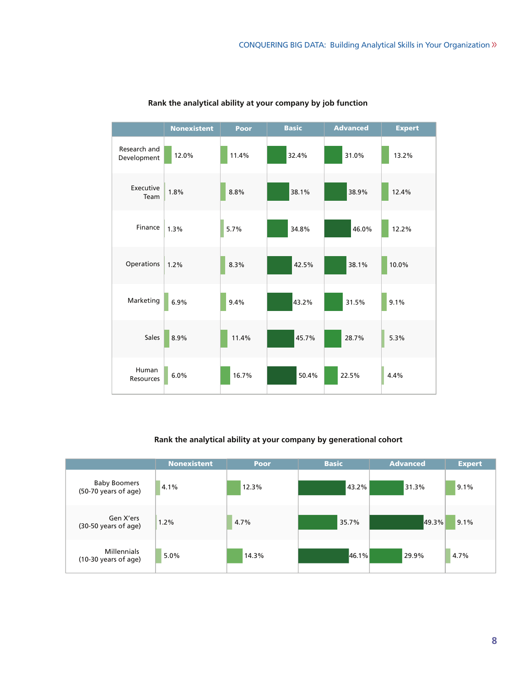|                             | <b>Nonexistent</b> | Poor  | <b>Basic</b> | <b>Advanced</b> | <b>Expert</b> |
|-----------------------------|--------------------|-------|--------------|-----------------|---------------|
| Research and<br>Development | 12.0%              | 11.4% | 32.4%        | 31.0%           | 13.2%         |
| Executive<br>Team           | 1.8%               | 8.8%  | 38.1%        | 38.9%           | 12.4%         |
| Finance                     | 1.3%               | 5.7%  | 34.8%        | 46.0%           | 12.2%         |
| Operations                  | 1.2%               | 8.3%  | 42.5%        | 38.1%           | 10.0%         |
| Marketing                   | 6.9%               | 9.4%  | 43.2%        | 31.5%           | 9.1%          |
| <b>Sales</b>                | 8.9%               | 11.4% | 45.7%        | 28.7%           | 5.3%          |
| Human<br>Resources          | 6.0%               | 16.7% | 50.4%        | 22.5%           | 4.4%          |

## **Rank the analytical ability at your company by job function**

#### **Rank the analytical ability at your company by generational cohort**

|                                                      | <b>Nonexistent</b> | Poor  | <b>Basic</b> | <b>Advanced</b> | <b>Expert</b> |
|------------------------------------------------------|--------------------|-------|--------------|-----------------|---------------|
| <b>Baby Boomers</b><br>(50-70 years of age)          | 4.1%               | 12.3% | 43.2%        | 31.3%           | 9.1%          |
| Gen X'ers<br>(30-50 years of age)                    | 1.2%               | 4.7%  | 35.7%        | 49.3%           | 9.1%          |
| <b>Millennials</b><br>$(10-30 \text{ years of age})$ | 5.0%               | 14.3% | 46.1%        | 29.9%           | 4.7%          |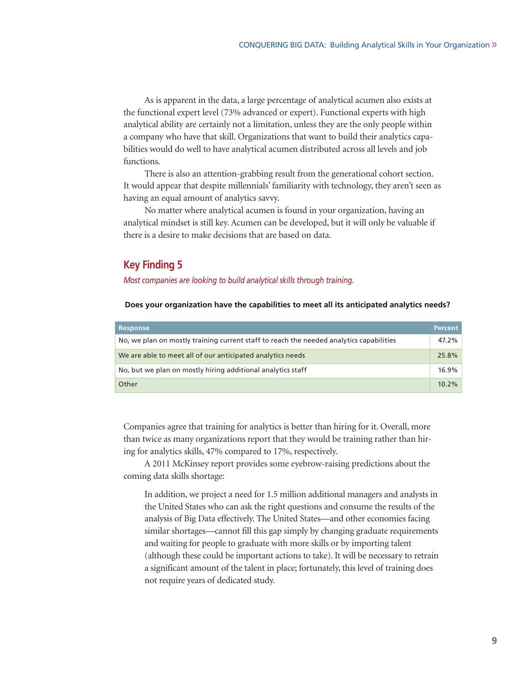As is apparent in the data, a large percentage of analytical acumen also exists at the functional expert level (73% advanced or expert). Functional experts with high analytical ability are certainly not a limitation, unless they are the only people within a company who have that skill. Organizations that want to build their analytics capabilities would do well to have analytical acumen distributed across all levels and job functions.

There is also an attention-grabbing result from the generational cohort section. It would appear that despite millennials' familiarity with technology, they aren't seen as having an equal amount of analytics savvy.

No matter where analytical acumen is found in your organization, having an analytical mindset is still key. Acumen can be developed, but it will only be valuable if there is a desire to make decisions that are based on data.

## **Key Finding 5**

*Most companies are looking to build analytical skills through training.*

**Does your organization have the capabilities to meet all its anticipated analytics needs?**

| Response                                                                                | <b>Percent</b> |
|-----------------------------------------------------------------------------------------|----------------|
| No, we plan on mostly training current staff to reach the needed analytics capabilities | 47.2%          |
| We are able to meet all of our anticipated analytics needs                              | 25.8%          |
| No, but we plan on mostly hiring additional analytics staff                             | 16.9%          |
| Other                                                                                   | $10.2\%$       |

Companies agree that training for analytics is better than hiring for it. Overall, more than twice as many organizations report that they would be training rather than hiring for analytics skills, 47% compared to 17%, respectively.

A 2011 McKinsey report provides some eyebrow-raising predictions about the coming data skills shortage:

In addition, we project a need for 1.5 million additional managers and analysts in the United States who can ask the right questions and consume the results of the analysis of Big Data effectively. The United States—and other economies facing similar shortages—cannot fill this gap simply by changing graduate requirements and waiting for people to graduate with more skills or by importing talent (although these could be important actions to take). It will be necessary to retrain a significant amount of the talent in place; fortunately, this level of training does not require years of dedicated study.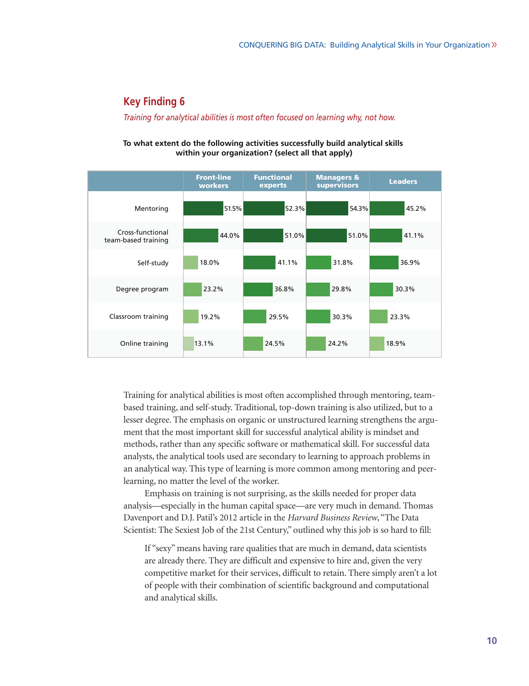*Training for analytical abilities is most often focused on learning why, not how.*

#### **To what extent do the following activities successfully build analytical skills within your organization? (select all that apply)**

|                                         | <b>Front-line</b><br>workers | <b>Functional</b><br>experts | <b>Managers &amp;</b><br>supervisors | <b>Leaders</b> |
|-----------------------------------------|------------------------------|------------------------------|--------------------------------------|----------------|
| Mentoring                               | 51.5%                        | 52.3%                        | $ 54.3\% $                           | 45.2%          |
| Cross-functional<br>team-based training | 44.0%                        | 51.0%                        | 51.0%                                | 41.1%          |
| Self-study                              | 18.0%                        | 41.1%                        | 31.8%                                | 36.9%          |
| Degree program                          | 23.2%                        | 36.8%                        | 29.8%                                | 30.3%          |
| Classroom training                      | 19.2%                        | 29.5%                        | 30.3%                                | 23.3%          |
| Online training                         | 13.1%                        | 24.5%                        | 24.2%                                | 18.9%          |

Training for analytical abilities is most often accomplished through mentoring, teambased training, and self-study. Traditional, top-down training is also utilized, but to a lesser degree. The emphasis on organic or unstructured learning strengthens the argument that the most important skill for successful analytical ability is mindset and methods, rather than any specific software or mathematical skill. For successful data analysts, the analytical tools used are secondary to learning to approach problems in an analytical way. This type of learning is more common among mentoring and peerlearning, no matter the level of the worker.

Emphasis on training is not surprising, as the skills needed for proper data analysis—especially in the human capital space—are very much in demand. Thomas Davenport and D.J. Patil's 2012 article in the *Harvard Business Review*, "The Data Scientist: The Sexiest Job of the 21st Century," outlined why this job is so hard to fill:

If "sexy" means having rare qualities that are much in demand, data scientists are already there. They are difficult and expensive to hire and, given the very competitive market for their services, difficult to retain. There simply aren't a lot of people with their combination of scientific background and computational and analytical skills.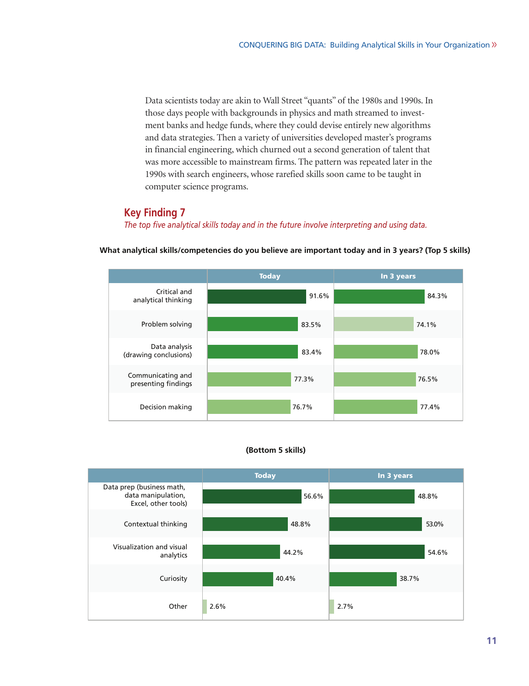Data scientists today are akin to Wall Street "quants" of the 1980s and 1990s. In those days people with backgrounds in physics and math streamed to investment banks and hedge funds, where they could devise entirely new algorithms and data strategies. Then a variety of universities developed master's programs in financial engineering, which churned out a second generation of talent that was more accessible to mainstream firms. The pattern was repeated later in the 1990s with search engineers, whose rarefied skills soon came to be taught in computer science programs.

## **Key Finding 7**

*The top five analytical skills today and in the future involve interpreting and using data.*



**What analytical skills/competencies do you believe are important today and in 3 years? (Top 5 skills)**

#### **(Bottom 5 skills)**

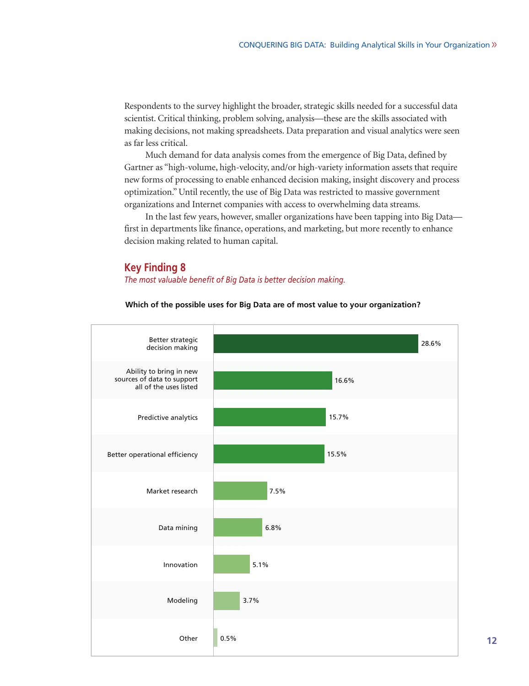Respondents to the survey highlight the broader, strategic skills needed for a successful data scientist. Critical thinking, problem solving, analysis—these are the skills associated with making decisions, not making spreadsheets. Data preparation and visual analytics were seen as far less critical.

Much demand for data analysis comes from the emergence of Big Data, defined by Gartner as "high-volume, high-velocity, and/or high-variety information assets that require new forms of processing to enable enhanced decision making, insight discovery and process optimization." Until recently, the use of Big Data was restricted to massive government organizations and Internet companies with access to overwhelming data streams.

In the last few years, however, smaller organizations have been tapping into Big Data first in departments like finance, operations, and marketing, but more recently to enhance decision making related to human capital.

#### **Key Finding 8**

*The most valuable benefit of Big Data is better decision making.*



**Which of the possible uses for Big Data are of most value to your organization?**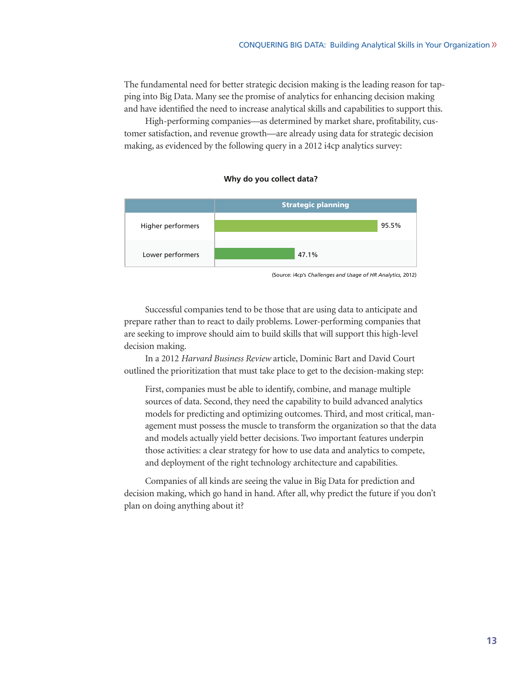The fundamental need for better strategic decision making is the leading reason for tapping into Big Data. Many see the promise of analytics for enhancing decision making and have identified the need to increase analytical skills and capabilities to support this.

High-performing companies—as determined by market share, profitability, customer satisfaction, and revenue growth—are already using data for strategic decision making, as evidenced by the following query in a 2012 i4cp analytics survey:

#### **Why do you collect data?**



(Source: i4cp's *Challenges and Usage of HR Analytics,* 2012)

Successful companies tend to be those that are using data to anticipate and prepare rather than to react to daily problems. Lower-performing companies that are seeking to improve should aim to build skills that will support this high-level decision making.

In a 2012 *Harvard Business Review* article, Dominic Bart and David Court outlined the prioritization that must take place to get to the decision-making step:

First, companies must be able to identify, combine, and manage multiple sources of data. Second, they need the capability to build advanced analytics models for predicting and optimizing outcomes. Third, and most critical, management must possess the muscle to transform the organization so that the data and models actually yield better decisions. Two important features underpin those activities: a clear strategy for how to use data and analytics to compete, and deployment of the right technology architecture and capabilities.

Companies of all kinds are seeing the value in Big Data for prediction and decision making, which go hand in hand. After all, why predict the future if you don't plan on doing anything about it?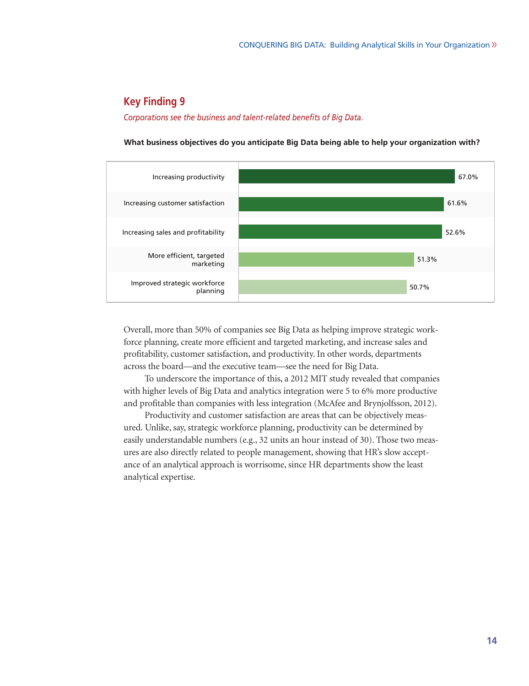#### *Corporations see the business and talent-related benefits of Big Data.*

**What business objectives do you anticipate Big Data being able to help your organization with?**



Overall, more than 50% of companies see Big Data as helping improve strategic workforce planning, create more efficient and targeted marketing, and increase sales and profitability, customer satisfaction, and productivity. In other words, departments across the board—and the executive team—see the need for Big Data.

To underscore the importance of this, a 2012 MIT study revealed that companies with higher levels of Big Data and analytics integration were 5 to 6% more productive and profitable than companies with less integration (McAfee and Brynjolfsson, 2012).

Productivity and customer satisfaction are areas that can be objectively measured. Unlike, say, strategic workforce planning, productivity can be determined by easily understandable numbers (e.g., 32 units an hour instead of 30). Those two measures are also directly related to people management, showing that HR's slow acceptance of an analytical approach is worrisome, since HR departments show the least analytical expertise.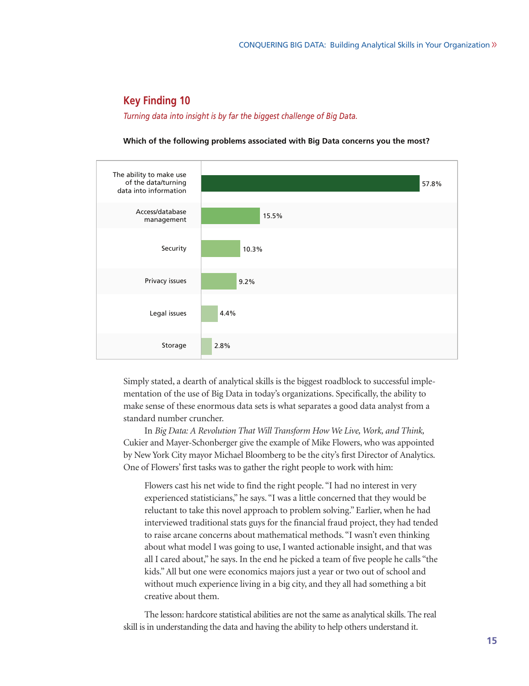*Turning data into insight is by far the biggest challenge of Big Data.*



**Which of the following problems associated with Big Data concerns you the most?**

Simply stated, a dearth of analytical skills is the biggest roadblock to successful implementation of the use of Big Data in today's organizations. Specifically, the ability to make sense of these enormous data sets is what separates a good data analyst from a standard number cruncher.

In *Big Data: A Revolution That Will Transform How We Live, Work, and Think,* Cukier and Mayer-Schonberger give the example of Mike Flowers, who was appointed by New York City mayor Michael Bloomberg to be the city's first Director of Analytics. One of Flowers' first tasks was to gather the right people to work with him:

Flowers cast his net wide to find the right people. "I had no interest in very experienced statisticians," he says. "I was a little concerned that they would be reluctant to take this novel approach to problem solving." Earlier, when he had interviewed traditional stats guys for the financial fraud project, they had tended to raise arcane concerns about mathematical methods. "I wasn't even thinking about what model I was going to use, I wanted actionable insight, and that was all I cared about," he says. In the end he picked a team of five people he calls "the kids."All but one were economics majors just a year or two out of school and without much experience living in a big city, and they all had something a bit creative about them.

The lesson: hardcore statistical abilities are not the same as analytical skills. The real skill is in understanding the data and having the ability to help others understand it.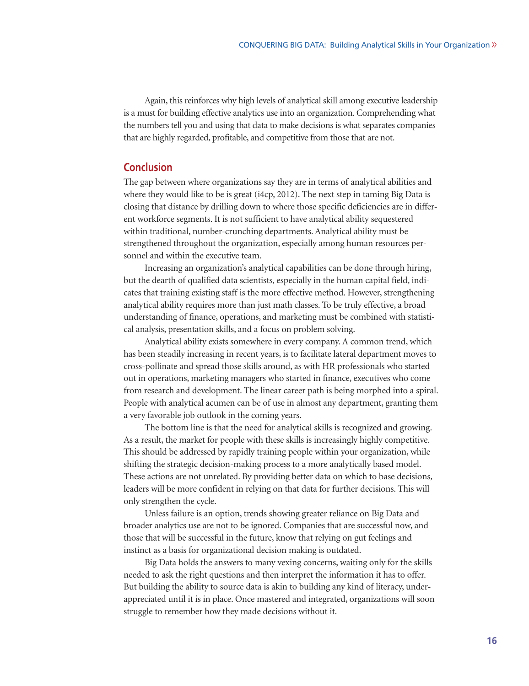Again, this reinforces why high levels of analytical skill among executive leadership is a must for building effective analytics use into an organization. Comprehending what the numbers tell you and using that data to make decisions is what separates companies that are highly regarded, profitable, and competitive from those that are not.

## **Conclusion**

The gap between where organizations say they are in terms of analytical abilities and where they would like to be is great (i4cp, 2012). The next step in taming Big Data is closing that distance by drilling down to where those specific deficiencies are in different workforce segments. It is not sufficient to have analytical ability sequestered within traditional, number-crunching departments. Analytical ability must be strengthened throughout the organization, especially among human resources personnel and within the executive team.

Increasing an organization's analytical capabilities can be done through hiring, but the dearth of qualified data scientists, especially in the human capital field, indicates that training existing staff is the more effective method. However, strengthening analytical ability requires more than just math classes. To be truly effective, a broad understanding of finance, operations, and marketing must be combined with statistical analysis, presentation skills, and a focus on problem solving.

Analytical ability exists somewhere in every company. A common trend, which has been steadily increasing in recent years, is to facilitate lateral department moves to cross-pollinate and spread those skills around, as with HR professionals who started out in operations, marketing managers who started in finance, executives who come from research and development. The linear career path is being morphed into a spiral. People with analytical acumen can be of use in almost any department, granting them a very favorable job outlook in the coming years.

The bottom line is that the need for analytical skills is recognized and growing. As a result, the market for people with these skills is increasingly highly competitive. This should be addressed by rapidly training people within your organization, while shifting the strategic decision-making process to a more analytically based model. These actions are not unrelated. By providing better data on which to base decisions, leaders will be more confident in relying on that data for further decisions. This will only strengthen the cycle.

Unless failure is an option, trends showing greater reliance on Big Data and broader analytics use are not to be ignored. Companies that are successful now, and those that will be successful in the future, know that relying on gut feelings and instinct as a basis for organizational decision making is outdated.

Big Data holds the answers to many vexing concerns, waiting only for the skills needed to ask the right questions and then interpret the information it has to offer. But building the ability to source data is akin to building any kind of literacy, underappreciated until it is in place. Once mastered and integrated, organizations will soon struggle to remember how they made decisions without it.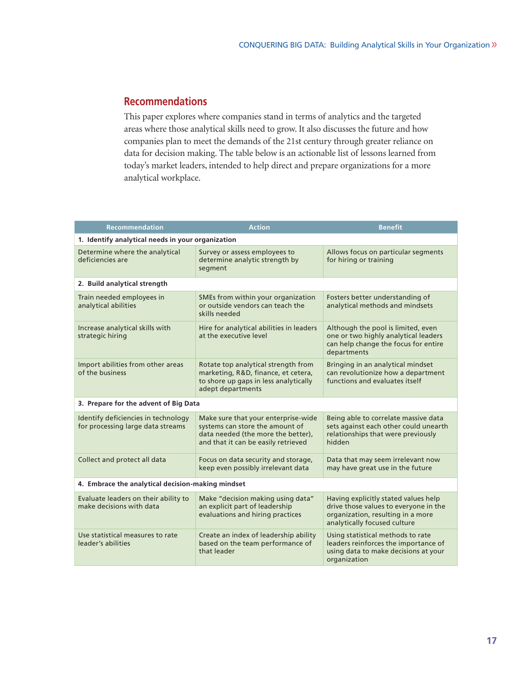## **Recommendations**

This paper explores where companies stand in terms of analytics and the targeted areas where those analytical skills need to grow. It also discusses the future and how companies plan to meet the demands of the 21st century through greater reliance on data for decision making. The table below is an actionable list of lessons learned from today's market leaders, intended to help direct and prepare organizations for a more analytical workplace.

| <b>Recommendation</b>                                                    | <b>Action</b>                                                                                                                                       | <b>Benefit</b>                                                                                                                                     |
|--------------------------------------------------------------------------|-----------------------------------------------------------------------------------------------------------------------------------------------------|----------------------------------------------------------------------------------------------------------------------------------------------------|
| 1. Identify analytical needs in your organization                        |                                                                                                                                                     |                                                                                                                                                    |
| Determine where the analytical<br>deficiencies are                       | Survey or assess employees to<br>determine analytic strength by<br>segment                                                                          | Allows focus on particular segments<br>for hiring or training                                                                                      |
| 2. Build analytical strength                                             |                                                                                                                                                     |                                                                                                                                                    |
| Train needed employees in<br>analytical abilities                        | SMEs from within your organization<br>or outside vendors can teach the<br>skills needed                                                             | Fosters better understanding of<br>analytical methods and mindsets                                                                                 |
| Increase analytical skills with<br>strategic hiring                      | Hire for analytical abilities in leaders<br>at the executive level                                                                                  | Although the pool is limited, even<br>one or two highly analytical leaders<br>can help change the focus for entire<br>departments                  |
| Import abilities from other areas<br>of the business                     | Rotate top analytical strength from<br>marketing, R&D, finance, et cetera,<br>to shore up gaps in less analytically<br>adept departments            | Bringing in an analytical mindset<br>can revolutionize how a department<br>functions and evaluates itself                                          |
| 3. Prepare for the advent of Big Data                                    |                                                                                                                                                     |                                                                                                                                                    |
| Identify deficiencies in technology<br>for processing large data streams | Make sure that your enterprise-wide<br>systems can store the amount of<br>data needed (the more the better),<br>and that it can be easily retrieved | Being able to correlate massive data<br>sets against each other could unearth<br>relationships that were previously<br>hidden                      |
| Collect and protect all data                                             | Focus on data security and storage,<br>keep even possibly irrelevant data                                                                           | Data that may seem irrelevant now<br>may have great use in the future                                                                              |
| 4. Embrace the analytical decision-making mindset                        |                                                                                                                                                     |                                                                                                                                                    |
| Evaluate leaders on their ability to<br>make decisions with data         | Make "decision making using data"<br>an explicit part of leadership<br>evaluations and hiring practices                                             | Having explicitly stated values help<br>drive those values to everyone in the<br>organization, resulting in a more<br>analytically focused culture |
| Use statistical measures to rate<br>leader's abilities                   | Create an index of leadership ability<br>based on the team performance of<br>that leader                                                            | Using statistical methods to rate<br>leaders reinforces the importance of<br>using data to make decisions at your<br>organization                  |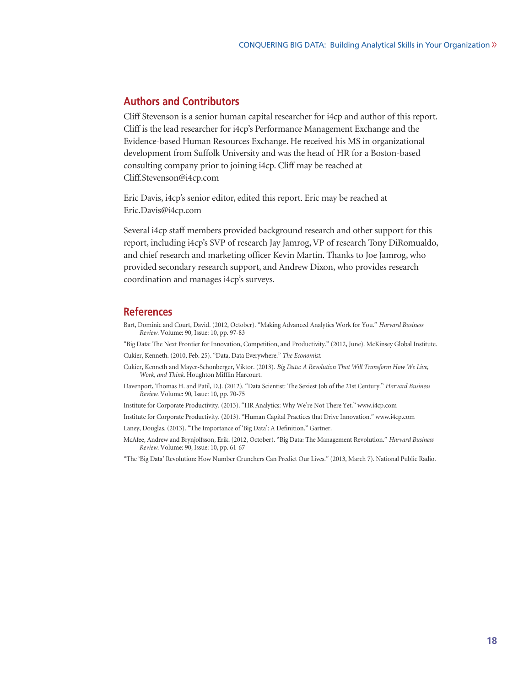## **Authors and Contributors**

Cliff Stevenson is a senior human capital researcher for i4cp and author of this report. Cliff is the lead researcher for i4cp's Performance Management Exchange and the Evidence-based Human Resources Exchange. He received his MS in organizational development from Suffolk University and was the head of HR for a Boston-based consulting company prior to joining i4cp. Cliff may be reached at Cliff.Stevenson@i4cp.com

Eric Davis, i4cp's senior editor, edited this report. Eric may be reached at Eric.Davis@i4cp.com

Several i4cp staff members provided background research and other support for this report, including i4cp's SVP of research Jay Jamrog,VP of research Tony DiRomualdo, and chief research and marketing officer Kevin Martin. Thanks to Joe Jamrog, who provided secondary research support, and Andrew Dixon, who provides research coordination and manages i4cp's surveys.

### **References**

- Bart, Dominic and Court, David. (2012, October). "Making Advanced Analytics Work for You." *Harvard Business Review.* Volume: 90, Issue: 10, pp. 97-83
- "Big Data: The Next Frontier for Innovation, Competition, and Productivity." (2012, June). McKinsey Global Institute.
- Cukier, Kenneth. (2010, Feb. 25). "Data, Data Everywhere." *The Economist.*
- Cukier, Kenneth and Mayer-Schonberger, Viktor. (2013). *Big Data: A Revolution That Will Transform How We Live, Work, and Think*. Houghton Mifflin Harcourt.
- Davenport, Thomas H. and Patil, D.J. (2012). "Data Scientist: The Sexiest Job of the 21st Century." *Harvard Business Review*. Volume: 90, Issue: 10, pp. 70-75
- Institute for Corporate Productivity. (2013). "HR Analytics: Why We're Not There Yet." www.i4cp.com
- Institute for Corporate Productivity. (2013). "Human Capital Practices that Drive Innovation." www.i4cp.com
- Laney, Douglas. (2013). "The Importance of 'Big Data': A Definition." Gartner.
- McAfee, Andrew and Brynjolfsson, Erik. (2012, October). "Big Data: The Management Revolution." *Harvard Business Review*. Volume: 90, Issue: 10, pp. 61-67
- "The 'Big Data' Revolution: How Number Crunchers Can Predict Our Lives." (2013, March 7). National Public Radio.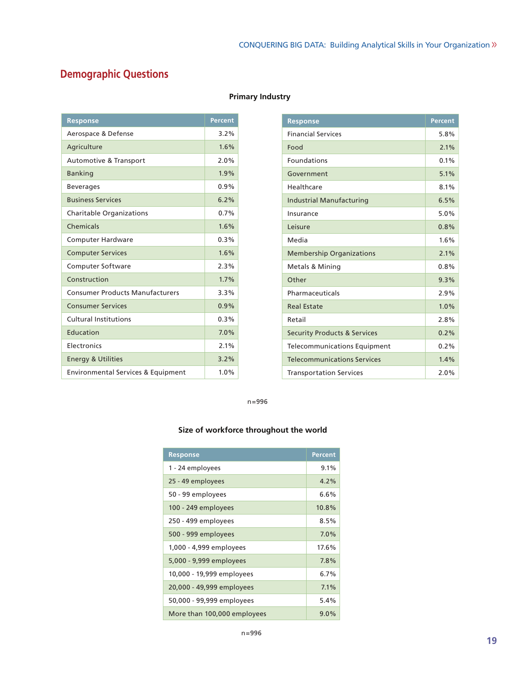## **Demographic Questions**

| <b>Response</b>                               | <b>Percent</b> |
|-----------------------------------------------|----------------|
| Aerospace & Defense                           | 3.2%           |
| Agriculture                                   | 1.6%           |
| Automotive & Transport                        | 2.0%           |
| <b>Banking</b>                                | 1.9%           |
| <b>Beverages</b>                              | 0.9%           |
| <b>Business Services</b>                      | 6.2%           |
| <b>Charitable Organizations</b>               | 0.7%           |
| Chemicals                                     | 1.6%           |
| <b>Computer Hardware</b>                      | 0.3%           |
| <b>Computer Services</b>                      | 1.6%           |
| Computer Software                             | 2.3%           |
| Construction                                  | 1.7%           |
| <b>Consumer Products Manufacturers</b>        | 3.3%           |
| <b>Consumer Services</b>                      | 0.9%           |
| Cultural Institutions                         | 0.3%           |
| Education                                     | 7.0%           |
| <b>Flectronics</b>                            | 2.1%           |
| <b>Energy &amp; Utilities</b>                 | 3.2%           |
| <b>Environmental Services &amp; Equipment</b> | 1.0%           |

#### **Primary Industry**

| <b>Response</b>                         | Percent |
|-----------------------------------------|---------|
| <b>Financial Services</b>               | 5.8%    |
| Food                                    | 2.1%    |
| Foundations                             | 0.1%    |
| Government                              | 5.1%    |
| Healthcare                              | 8.1%    |
| <b>Industrial Manufacturing</b>         | 6.5%    |
| Insurance                               | 5.0%    |
| Leisure                                 | 0.8%    |
| Media                                   | 1.6%    |
| <b>Membership Organizations</b>         | 2.1%    |
| <b>Metals &amp; Mining</b>              | 0.8%    |
| Other                                   | 9.3%    |
| Pharmaceuticals                         | 2.9%    |
| <b>Real Estate</b>                      | 1.0%    |
| Retail                                  | 2.8%    |
| <b>Security Products &amp; Services</b> | 0.2%    |
| <b>Telecommunications Equipment</b>     | 0.2%    |
| <b>Telecommunications Services</b>      | 1.4%    |
| <b>Transportation Services</b>          | 2.0%    |

n=996

## **Size of workforce throughout the world**

| <b>Response</b>             | <b>Percent</b> |
|-----------------------------|----------------|
| 1 - 24 employees            | 9.1%           |
| 25 - 49 employees           | 4.2%           |
| 50 - 99 employees           | 6.6%           |
| 100 - 249 employees         | 10.8%          |
| 250 - 499 employees         | 8.5%           |
| 500 - 999 employees         | 7.0%           |
| 1,000 - 4,999 employees     | 17.6%          |
| 5,000 - 9,999 employees     | 7.8%           |
| 10,000 - 19,999 employees   | 6.7%           |
| 20,000 - 49,999 employees   | 7.1%           |
| 50,000 - 99,999 employees   | 5.4%           |
| More than 100,000 employees | $9.0\%$        |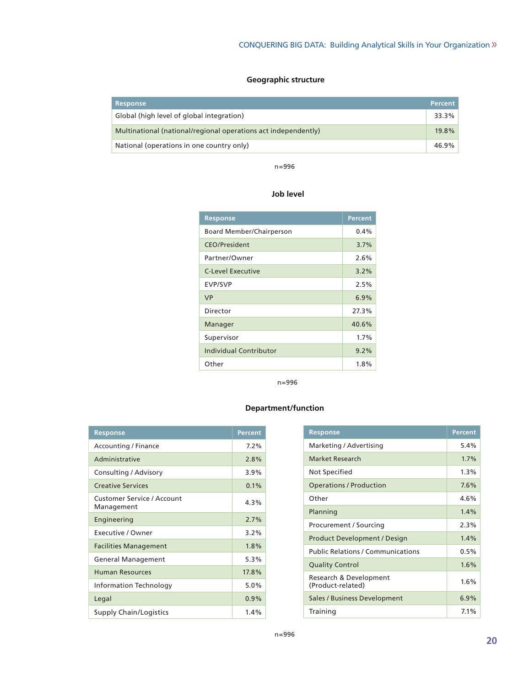## **Geographic structure**

| <b>Response</b>                                                | <b>Percent</b> |
|----------------------------------------------------------------|----------------|
| Global (high level of global integration)                      | 33.3%          |
| Multinational (national/regional operations act independently) | 19.8%          |
| National (operations in one country only)                      | 46.9%          |

n=996

#### **Job level**

| <b>Response</b>               | <b>Percent</b> |
|-------------------------------|----------------|
| Board Member/Chairperson      | 0.4%           |
| <b>CEO/President</b>          | 3.7%           |
| Partner/Owner                 | 2.6%           |
| <b>C-Level Executive</b>      | $3.2\%$        |
| <b>EVP/SVP</b>                | 2.5%           |
| <b>VP</b>                     | 6.9%           |
| Director                      | 27.3%          |
| Manager                       | 40.6%          |
| Supervisor                    | 1.7%           |
| <b>Individual Contributor</b> | 9.2%           |
| Other                         | 1.8%           |

n=996

#### **Department/function**

| <b>Response</b>                                 | <b>Percent</b> |
|-------------------------------------------------|----------------|
| Accounting / Finance                            | 7.2%           |
| Administrative                                  | 2.8%           |
| Consulting / Advisory                           | 3.9%           |
| <b>Creative Services</b>                        | 0.1%           |
| <b>Customer Service / Account</b><br>Management | 4.3%           |
| Engineering                                     | 2.7%           |
| Executive / Owner                               | 3.2%           |
| <b>Facilities Management</b>                    | 1.8%           |
| <b>General Management</b>                       | 5.3%           |
| <b>Human Resources</b>                          | 17.8%          |
| Information Technology                          | 5.0%           |
| Legal                                           | 0.9%           |
| <b>Supply Chain/Logistics</b>                   | $1.4\%$        |

| <b>Response</b>                             | <b>Percent</b> |
|---------------------------------------------|----------------|
| Marketing / Advertising                     | 5.4%           |
| Market Research                             | 1.7%           |
| Not Specified                               | 1.3%           |
| <b>Operations / Production</b>              | 7.6%           |
| Other                                       | 4.6%           |
| Planning                                    | 1.4%           |
| Procurement / Sourcing                      | 2.3%           |
| Product Development / Design                | 1.4%           |
| <b>Public Relations / Communications</b>    | 0.5%           |
| <b>Quality Control</b>                      | 1.6%           |
| Research & Development<br>(Product-related) | 1.6%           |
| Sales / Business Development                | 6.9%           |
| Training                                    | 7.1%           |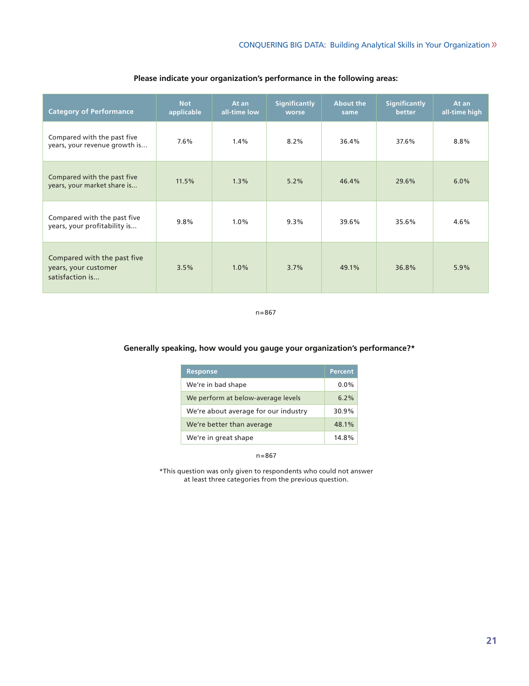| <b>Category of Performance</b>                                         | <b>Not</b><br>applicable | At an<br>all-time low | <b>Significantly</b><br>worse | <b>About the</b><br>same | <b>Significantly</b><br>better | At an<br>all-time high |
|------------------------------------------------------------------------|--------------------------|-----------------------|-------------------------------|--------------------------|--------------------------------|------------------------|
| Compared with the past five<br>years, your revenue growth is           | $7.6\%$                  | 1.4%                  | 8.2%                          | 36.4%                    | 37.6%                          | 8.8%                   |
| Compared with the past five<br>years, your market share is             | 11.5%                    | 1.3%                  | 5.2%                          | 46.4%                    | 29.6%                          | 6.0%                   |
| Compared with the past five<br>years, your profitability is            | 9.8%                     | 1.0%                  | 9.3%                          | 39.6%                    | 35.6%                          | 4.6%                   |
| Compared with the past five<br>years, your customer<br>satisfaction is | 3.5%                     | 1.0%                  | 3.7%                          | 49.1%                    | 36.8%                          | 5.9%                   |

n=867

#### **Generally speaking, how would you gauge your organization's performance?\***

| <b>Response</b>                      | Percent |
|--------------------------------------|---------|
| We're in bad shape                   | $0.0\%$ |
| We perform at below-average levels   | 6.2%    |
| We're about average for our industry | 30.9%   |
| We're better than average            | 48.1%   |
| We're in great shape                 | 14.8%   |

n=867

\*This question was only given to respondents who could not answer at least three categories from the previous question.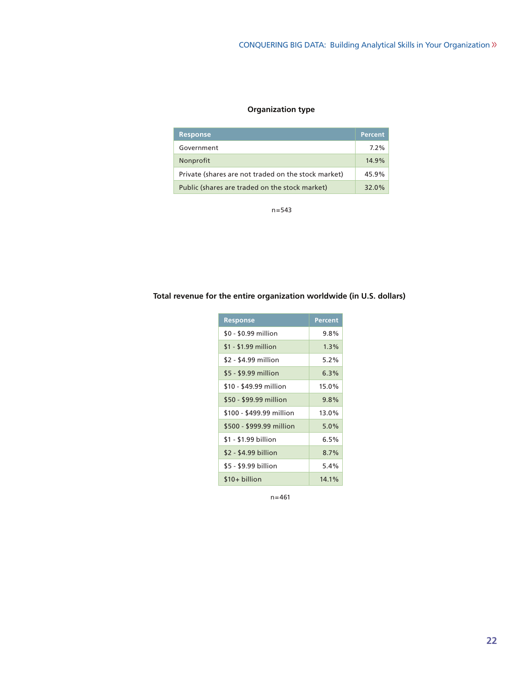## **Organization type**

| <b>Response</b>                                     | <b>Percent</b> |
|-----------------------------------------------------|----------------|
| Government                                          | $7.2\%$        |
| Nonprofit                                           | 14.9%          |
| Private (shares are not traded on the stock market) | 45.9%          |
| Public (shares are traded on the stock market)      | 32.0%          |

n=543

## **Total revenue for the entire organization worldwide (in U.S. dollars)**

| <b>Response</b>          | <b>Percent</b> |
|--------------------------|----------------|
| \$0 - \$0.99 million     | $9.8\%$        |
| $$1 - $1.99$ million     | $1.3\%$        |
| \$2 - \$4.99 million     | 5.2%           |
| \$5 - \$9.99 million     | 6.3%           |
| \$10 - \$49.99 million   | 15.0%          |
| \$50 - \$99.99 million   | 9.8%           |
| \$100 - \$499.99 million | 13.0%          |
| \$500 - \$999.99 million | 5.0%           |
| \$1 - \$1.99 billion     | 6.5%           |
| \$2 - \$4.99 billion     | 8.7%           |
| \$5 - \$9.99 billion     | 5.4%           |
| $$10+$ billion           | $14.1\%$       |

n=461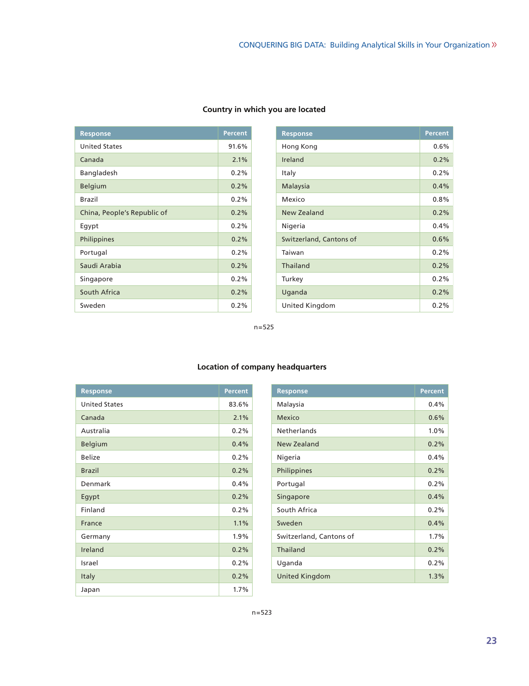| <b>Response</b>             | <b>Percent</b> |
|-----------------------------|----------------|
| <b>United States</b>        | 91.6%          |
| Canada                      | 2.1%           |
| Bangladesh                  | $0.2\%$        |
| Belgium                     | 0.2%           |
| <b>Brazil</b>               | $0.2\%$        |
| China, People's Republic of | $0.2\%$        |
| Eqypt                       | $0.2\%$        |
| Philippines                 | 0.2%           |
| Portugal                    | 0.2%           |
| Saudi Arabia                | $0.2\%$        |
| Singapore                   | 0.2%           |
| South Africa                | $0.2\%$        |
| Sweden                      | 0.2%           |

## **Country in which you are located**

| <b>Response</b>         | <b>Percent</b> |
|-------------------------|----------------|
| Hong Kong               | $0.6\%$        |
| Ireland                 | 0.2%           |
| Italy                   | 0.2%           |
| Malaysia                | 0.4%           |
| Mexico                  | 0.8%           |
| <b>New Zealand</b>      | 0.2%           |
| Nigeria                 | $0.4\%$        |
| Switzerland, Cantons of | 0.6%           |
| Taiwan                  | $0.2\%$        |
| Thailand                | 0.2%           |
| Turkey                  | 0.2%           |
| Uganda                  | 0.2%           |
| United Kingdom          | 0.2%           |

n=525

| <b>Response</b>      | <b>Percent</b> |
|----------------------|----------------|
| <b>United States</b> | 83.6%          |
| Canada               | 2.1%           |
| Australia            | 0.2%           |
| Belgium              | 0.4%           |
| <b>Belize</b>        | 0.2%           |
| <b>Brazil</b>        | 0.2%           |
| Denmark              | 0.4%           |
| Egypt                | 0.2%           |
| Finland              | 0.2%           |
| France               | 1.1%           |
| Germany              | 1.9%           |
| Ireland              | 0.2%           |
| Israel               | 0.2%           |
| Italy                | 0.2%           |
| Japan                | 1.7%           |

## **Location of company headquarters**

| <b>Response</b>         | <b>Percent</b> |
|-------------------------|----------------|
| Malaysia                | $0.4\%$        |
| Mexico                  | 0.6%           |
| <b>Netherlands</b>      | 1.0%           |
| New Zealand             | 0.2%           |
| Nigeria                 | $0.4\%$        |
| Philippines             | 0.2%           |
| Portugal                | 0.2%           |
| Singapore               | 0.4%           |
| South Africa            | $0.2\%$        |
| Sweden                  | 0.4%           |
| Switzerland, Cantons of | 1.7%           |
| Thailand                | 0.2%           |
| Uganda                  | 0.2%           |
| United Kingdom          | 1.3%           |
|                         |                |